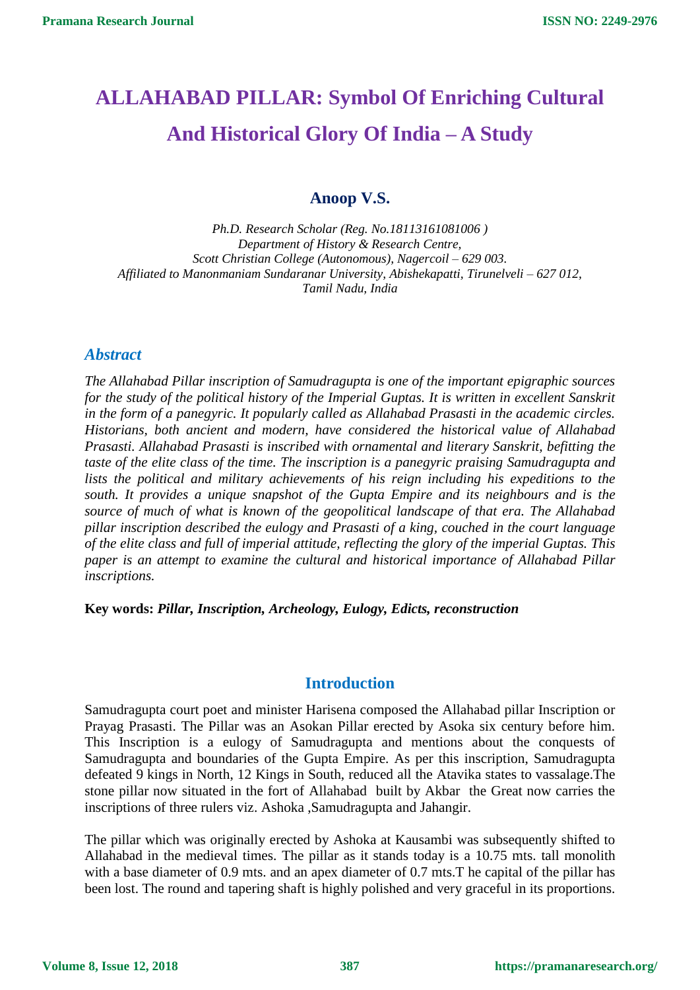# **ALLAHABAD PILLAR: Symbol Of Enriching Cultural And Historical Glory Of India – A Study**

# **Anoop V.S.**

*Ph.D. Research Scholar (Reg. No.18113161081006 ) Department of History & Research Centre, Scott Christian College (Autonomous), Nagercoil – 629 003. Affiliated to Manonmaniam Sundaranar University, Abishekapatti, Tirunelveli – 627 012, Tamil Nadu, India*

### *Abstract*

*The Allahabad Pillar inscription of Samudragupta is one of the important epigraphic sources for the study of the political history of the Imperial Guptas. It is written in excellent Sanskrit in the form of a panegyric. It popularly called as Allahabad Prasasti in the academic circles. Historians, both ancient and modern, have considered the historical value of Allahabad Prasasti. Allahabad Prasasti is inscribed with ornamental and literary Sanskrit, befitting the taste of the elite class of the time. The inscription is a panegyric praising Samudragupta and lists the political and military achievements of his reign including his expeditions to the south. It provides a unique snapshot of the Gupta Empire and its neighbours and is the source of much of what is known of the geopolitical landscape of that era. The Allahabad pillar inscription described the eulogy and Prasasti of a king, couched in the court language of the elite class and full of imperial attitude, reflecting the glory of the imperial Guptas. This paper is an attempt to examine the cultural and historical importance of Allahabad Pillar inscriptions.*

**Key words:** *Pillar, Inscription, Archeology, Eulogy, Edicts, reconstruction*

# **Introduction**

Samudragupta court poet and minister Harisena composed the Allahabad pillar Inscription or Prayag Prasasti. The Pillar was an Asokan Pillar erected by Asoka six century before him. This Inscription is a eulogy of Samudragupta and mentions about the conquests of Samudragupta and boundaries of the Gupta Empire. As per this inscription, Samudragupta defeated 9 kings in North, 12 Kings in South, reduced all the Atavika states to vassalage.The stone pillar now situated in the fort of Allahabad built by Akbar the Great now carries the inscriptions of three rulers viz. Ashoka ,Samudragupta and Jahangir.

The pillar which was originally erected by Ashoka at Kausambi was subsequently shifted to Allahabad in the medieval times. The pillar as it stands today is a 10.75 mts. tall monolith with a base diameter of 0.9 mts. and an apex diameter of 0.7 mts. T he capital of the pillar has been lost. The round and tapering shaft is highly polished and very graceful in its proportions.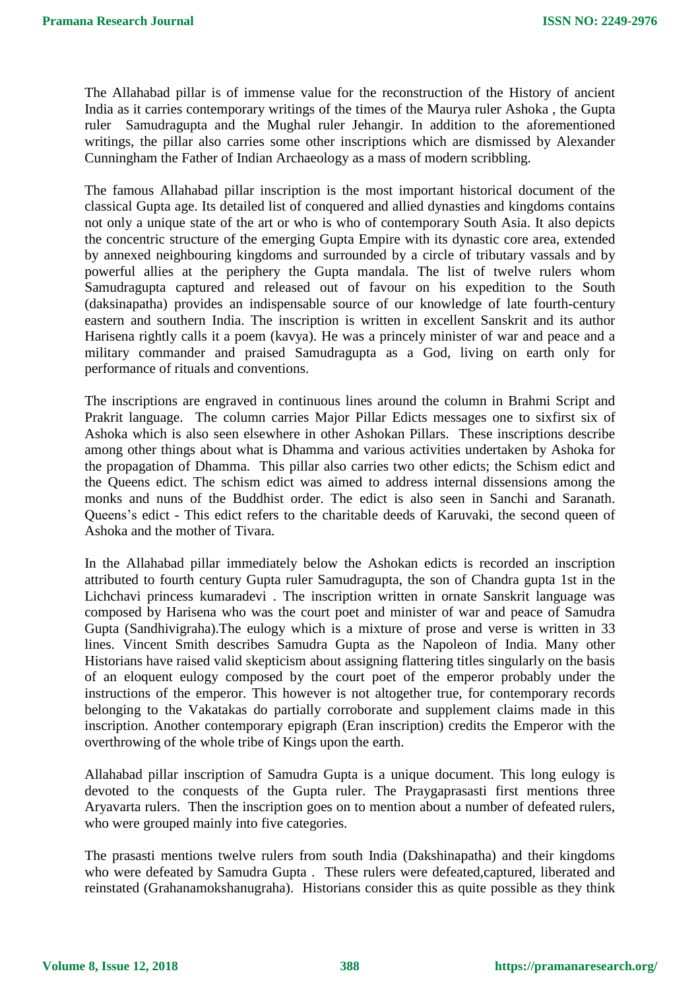The Allahabad pillar is of immense value for the reconstruction of the History of ancient India as it carries contemporary writings of the times of the Maurya ruler Ashoka , the Gupta ruler Samudragupta and the Mughal ruler Jehangir. In addition to the aforementioned writings, the pillar also carries some other inscriptions which are dismissed by Alexander Cunningham the Father of Indian Archaeology as a mass of modern scribbling.

The famous Allahabad pillar inscription is the most important historical document of the classical Gupta age. Its detailed list of conquered and allied dynasties and kingdoms contains not only a unique state of the art or who is who of contemporary South Asia. It also depicts the concentric structure of the emerging Gupta Empire with its dynastic core area, extended by annexed neighbouring kingdoms and surrounded by a circle of tributary vassals and by powerful allies at the periphery the Gupta mandala. The list of twelve rulers whom Samudragupta captured and released out of favour on his expedition to the South (daksinapatha) provides an indispensable source of our knowledge of late fourth-century eastern and southern India. The inscription is written in excellent Sanskrit and its author Harisena rightly calls it a poem (kavya). He was a princely minister of war and peace and a military commander and praised Samudragupta as a God, living on earth only for performance of rituals and conventions.

The inscriptions are engraved in continuous lines around the column in Brahmi Script and Prakrit language. The column carries Major Pillar Edicts messages one to sixfirst six of Ashoka which is also seen elsewhere in other Ashokan Pillars. These inscriptions describe among other things about what is Dhamma and various activities undertaken by Ashoka for the propagation of Dhamma. This pillar also carries two other edicts; the Schism edict and the Queens edict. The schism edict was aimed to address internal dissensions among the monks and nuns of the Buddhist order. The edict is also seen in Sanchi and Saranath. Queens's edict - This edict refers to the charitable deeds of Karuvaki, the second queen of Ashoka and the mother of Tivara.

In the Allahabad pillar immediately below the Ashokan edicts is recorded an inscription attributed to fourth century Gupta ruler Samudragupta, the son of Chandra gupta 1st in the Lichchavi princess kumaradevi . The inscription written in ornate Sanskrit language was composed by Harisena who was the court poet and minister of war and peace of Samudra Gupta (Sandhivigraha).The eulogy which is a mixture of prose and verse is written in 33 lines. Vincent Smith describes Samudra Gupta as the Napoleon of India. Many other Historians have raised valid skepticism about assigning flattering titles singularly on the basis of an eloquent eulogy composed by the court poet of the emperor probably under the instructions of the emperor. This however is not altogether true, for contemporary records belonging to the Vakatakas do partially corroborate and supplement claims made in this inscription. Another contemporary epigraph (Eran inscription) credits the Emperor with the overthrowing of the whole tribe of Kings upon the earth.

Allahabad pillar inscription of Samudra Gupta is a unique document. This long eulogy is devoted to the conquests of the Gupta ruler. The Praygaprasasti first mentions three Aryavarta rulers. Then the inscription goes on to mention about a number of defeated rulers, who were grouped mainly into five categories.

The prasasti mentions twelve rulers from south India (Dakshinapatha) and their kingdoms who were defeated by Samudra Gupta . These rulers were defeated,captured, liberated and reinstated (Grahanamokshanugraha). Historians consider this as quite possible as they think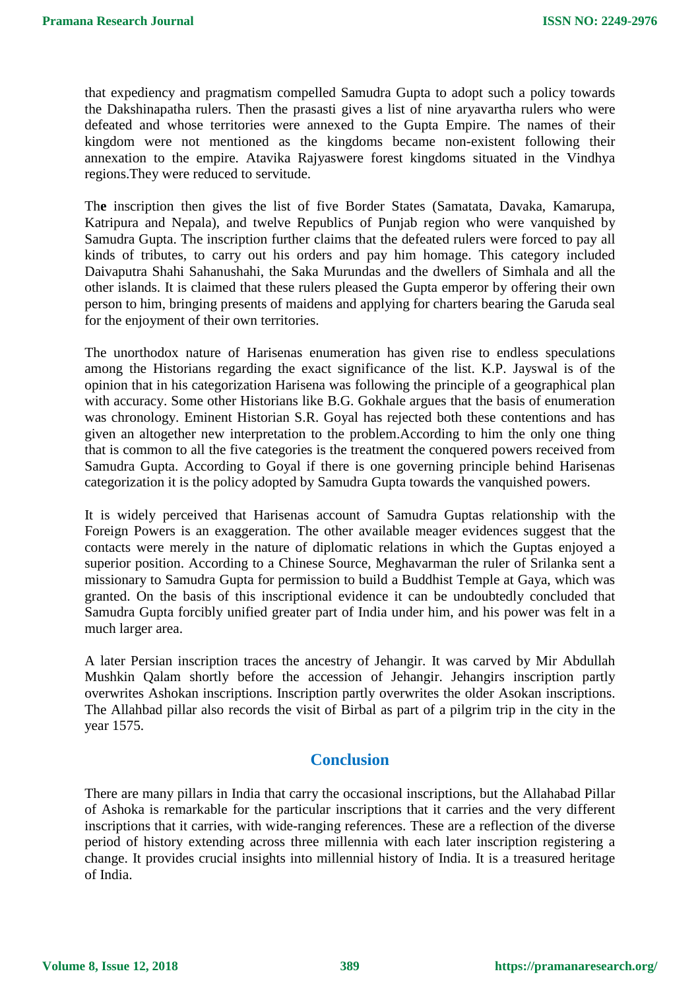that expediency and pragmatism compelled Samudra Gupta to adopt such a policy towards the Dakshinapatha rulers. Then the prasasti gives a list of nine aryavartha rulers who were defeated and whose territories were annexed to the Gupta Empire. The names of their kingdom were not mentioned as the kingdoms became non-existent following their annexation to the empire. Atavika Rajyaswere forest kingdoms situated in the Vindhya regions.They were reduced to servitude.

Th**e** inscription then gives the list of five Border States (Samatata, Davaka, Kamarupa, Katripura and Nepala), and twelve Republics of Punjab region who were vanquished by Samudra Gupta. The inscription further claims that the defeated rulers were forced to pay all kinds of tributes, to carry out his orders and pay him homage. This category included Daivaputra Shahi Sahanushahi, the Saka Murundas and the dwellers of Simhala and all the other islands. It is claimed that these rulers pleased the Gupta emperor by offering their own person to him, bringing presents of maidens and applying for charters bearing the Garuda seal for the enjoyment of their own territories.

The unorthodox nature of Harisenas enumeration has given rise to endless speculations among the Historians regarding the exact significance of the list. K.P. Jayswal is of the opinion that in his categorization Harisena was following the principle of a geographical plan with accuracy. Some other Historians like B.G. Gokhale argues that the basis of enumeration was chronology. Eminent Historian S.R. Goyal has rejected both these contentions and has given an altogether new interpretation to the problem.According to him the only one thing that is common to all the five categories is the treatment the conquered powers received from Samudra Gupta. According to Goyal if there is one governing principle behind Harisenas categorization it is the policy adopted by Samudra Gupta towards the vanquished powers.

It is widely perceived that Harisenas account of Samudra Guptas relationship with the Foreign Powers is an exaggeration. The other available meager evidences suggest that the contacts were merely in the nature of diplomatic relations in which the Guptas enjoyed a superior position. According to a Chinese Source, Meghavarman the ruler of Srilanka sent a missionary to Samudra Gupta for permission to build a Buddhist Temple at Gaya, which was granted. On the basis of this inscriptional evidence it can be undoubtedly concluded that Samudra Gupta forcibly unified greater part of India under him, and his power was felt in a much larger area.

A later Persian inscription traces the ancestry of Jehangir. It was carved by Mir Abdullah Mushkin Qalam shortly before the accession of Jehangir. Jehangirs inscription partly overwrites Ashokan inscriptions. Inscription partly overwrites the older Asokan inscriptions. The Allahbad pillar also records the visit of Birbal as part of a pilgrim trip in the city in the year 1575.

#### **Conclusion**

There are many pillars in India that carry the occasional inscriptions, but the Allahabad Pillar of Ashoka is remarkable for the particular inscriptions that it carries and the very different inscriptions that it carries, with wide-ranging references. These are a reflection of the diverse period of history extending across three millennia with each later inscription registering a change. It provides crucial insights into millennial history of India. It is a treasured heritage of India.